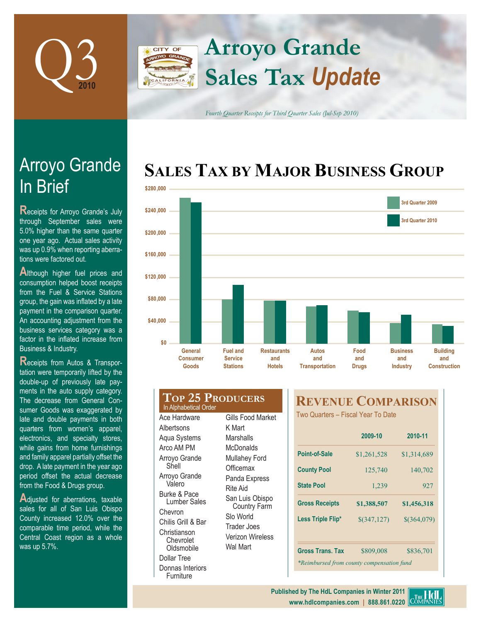

## **Arroyo Grande CITY OF Sales Tax** *Update*

*Fourth Quarter Receipts for Third Quarter Sales (Jul-Sep 2010)*

# **SALES TAX BY MAJOR BUSINESS GROUP**



# **In Brief** Arroyo Grande

**Receipts for Arroyo Grande's July** through September sales were 5.0% higher than the same quarter one year ago. Actual sales activity was up 0.9% when reporting aberrations were factored out.

**Although higher fuel prices and** consumption helped boost receipts from the Fuel & Service Stations group, the gain was inflated by a late payment in the comparison quarter. An accounting adjustment from the business services category was a factor in the inflated increase from Business & Industry.

**Receipts from Autos & Transpor**tation were temporarily lifted by the double-up of previously late payments in the auto supply category. The decrease from General Consumer Goods was exaggerated by late and double payments in both quarters from women's apparel, electronics, and specialty stores, while gains from home furnishings and family apparel partially offset the drop. A late payment in the year ago period offset the actual decrease from the Food & Drugs group.

Adjusted for aberrations, taxable sales for all of San Luis Obispo County increased 12.0% over the comparable time period, while the Central Coast region as a whole was up 5.7%.

#### **Top 25 Producers** In Alphabetical Order

Ace Hardware **Albertsons** Aqua Systems Arco AM PM Arroyo Grande Shell Arroyo Grande Valero Burke & Pace Lumber Sales Chevron Chilis Grill & Bar Christianson Chevrolet **Oldsmobile** Dollar Tree Donnas Interiors Furniture

Gills Food Market K Mart **Marshalls McDonalds** Mullahey Ford **Officemax** Panda Express Rite Aid San Luis Obispo Country Farm Slo World Trader Joes Verizon Wireless Wal Mart

## **REVENUE COMPARISON**

Two Quarters – Fiscal Year To Date

|                                           | 2009-10            | 2010-11<br>\$1,314,689       |  |
|-------------------------------------------|--------------------|------------------------------|--|
| Point-of-Sale                             | \$1,261,528        |                              |  |
| <b>County Pool</b>                        | 125,740<br>140,702 |                              |  |
| <b>State Pool</b>                         | 1,239              | 927                          |  |
| <b>Gross Receipts</b>                     | \$1,388,507        | \$1,456,318<br>$$$ (364,079) |  |
| Less Triple Flip*                         | $$$ (347,127)      |                              |  |
| <b>Gross Trans. Tax</b>                   | \$809,008          | \$836,701                    |  |
| *Reimbursed from county compensation fund |                    |                              |  |